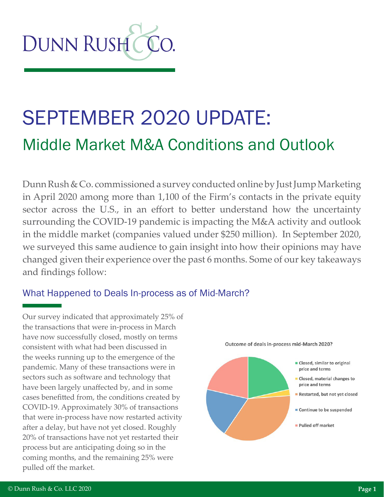

# SEPTEMBER 2020 UPDATE: Middle Market M&A Conditions and Outlook

Dunn Rush & Co. commissioned a survey conducted online by Just Jump Marketing in April 2020 among more than 1,100 of the Firm's contacts in the private equity sector across the U.S., in an effort to better understand how the uncertainty surrounding the COVID-19 pandemic is impacting the M&A activity and outlook in the middle market (companies valued under \$250 million). In September 2020, we surveyed this same audience to gain insight into how their opinions may have changed given their experience over the past 6 months. Some of our key takeaways and findings follow:

#### What Happened to Deals In-process as of Mid-March?

Our survey indicated that approximately 25% of the transactions that were in-process in March have now successfully closed, mostly on terms consistent with what had been discussed in the weeks running up to the emergence of the pandemic. Many of these transactions were in sectors such as software and technology that have been largely unaffected by, and in some cases benefitted from, the conditions created by COVID-19. Approximately 30% of transactions that were in-process have now restarted activity after a delay, but have not yet closed. Roughly 20% of transactions have not yet restarted their process but are anticipating doing so in the coming months, and the remaining 25% were pulled off the market.

Outcome of deals in-process mid-March 2020?

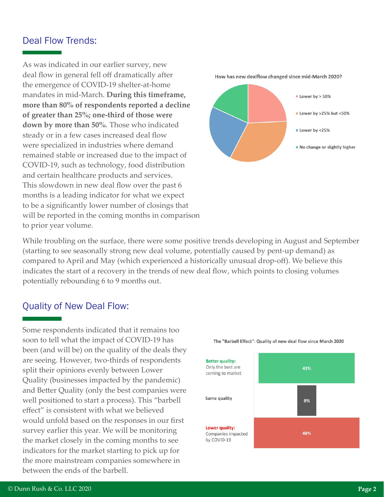#### Deal Flow Trends:

As was indicated in our earlier survey, new deal flow in general fell off dramatically after the emergence of COVID-19 shelter-at-home mandates in mid-March. **During this timeframe, more than 80% of respondents reported a decline of greater than 25%; one-third of those were down by more than 50%**. Those who indicated steady or in a few cases increased deal flow were specialized in industries where demand remained stable or increased due to the impact of COVID-19, such as technology, food distribution and certain healthcare products and services. This slowdown in new deal flow over the past 6 months is a leading indicator for what we expect to be a significantly lower number of closings that will be reported in the coming months in comparison to prior year volume.



How has new dealflow changed since mid-March 2020?

While troubling on the surface, there were some positive trends developing in August and September (starting to see seasonally strong new deal volume, potentially caused by pent-up demand) as compared to April and May (which experienced a historically unusual drop-off). We believe this indicates the start of a recovery in the trends of new deal flow, which points to closing volumes potentially rebounding 6 to 9 months out.

#### Quality of New Deal Flow:

Some respondents indicated that it remains too soon to tell what the impact of COVID-19 has been (and will be) on the quality of the deals they are seeing. However, two-thirds of respondents split their opinions evenly between Lower Quality (businesses impacted by the pandemic) and Better Quality (only the best companies were well positioned to start a process). This "barbell effect" is consistent with what we believed would unfold based on the responses in our first survey earlier this year. We will be monitoring the market closely in the coming months to see indicators for the market starting to pick up for the more mainstream companies somewhere in between the ends of the barbell.



The "Barbell Effect": Quality of new deal flow since March 2020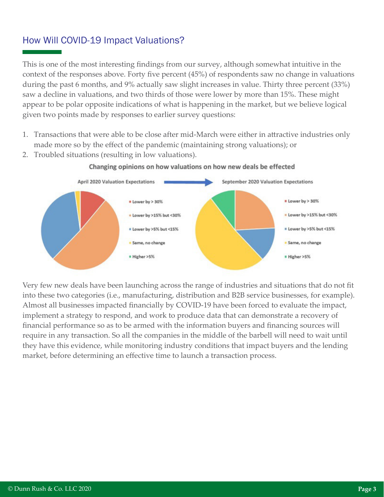#### How Will COVID-19 Impact Valuations?

This is one of the most interesting findings from our survey, although somewhat intuitive in the context of the responses above. Forty five percent (45%) of respondents saw no change in valuations during the past 6 months, and 9% actually saw slight increases in value. Thirty three percent (33%) saw a decline in valuations, and two thirds of those were lower by more than 15%. These might appear to be polar opposite indications of what is happening in the market, but we believe logical given two points made by responses to earlier survey questions:

- 1. Transactions that were able to be close after mid-March were either in attractive industries only made more so by the effect of the pandemic (maintaining strong valuations); or
- 2. Troubled situations (resulting in low valuations).



#### Changing opinions on how valuations on how new deals be effected

Very few new deals have been launching across the range of industries and situations that do not fit into these two categories (i.e., manufacturing, distribution and B2B service businesses, for example). Almost all businesses impacted financially by COVID-19 have been forced to evaluate the impact, implement a strategy to respond, and work to produce data that can demonstrate a recovery of financial performance so as to be armed with the information buyers and financing sources will require in any transaction. So all the companies in the middle of the barbell will need to wait until they have this evidence, while monitoring industry conditions that impact buyers and the lending market, before determining an effective time to launch a transaction process.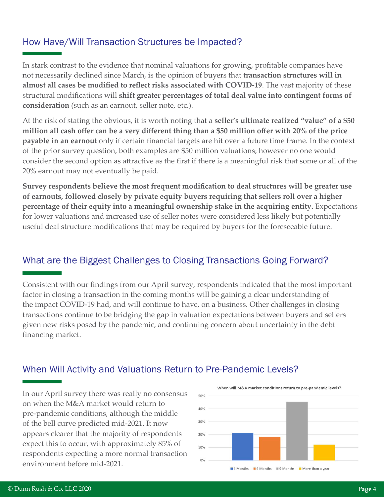### How Have/Will Transaction Structures be Impacted?

In stark contrast to the evidence that nominal valuations for growing, profitable companies have not necessarily declined since March, is the opinion of buyers that **transaction structures will in almost all cases be modified to reflect risks associated with COVID-19**. The vast majority of these structural modifications will **shift greater percentages of total deal value into contingent forms of consideration** (such as an earnout, seller note, etc.).

At the risk of stating the obvious, it is worth noting that a **seller's ultimate realized "value" of a \$50 million all cash offer can be a very different thing than a \$50 million offer with 20% of the price payable in an earnout** only if certain financial targets are hit over a future time frame. In the context of the prior survey question, both examples are \$50 million valuations; however no one would consider the second option as attractive as the first if there is a meaningful risk that some or all of the 20% earnout may not eventually be paid.

**Survey respondents believe the most frequent modification to deal structures will be greater use of earnouts, followed closely by private equity buyers requiring that sellers roll over a higher percentage of their equity into a meaningful ownership stake in the acquiring entity.** Expectations for lower valuations and increased use of seller notes were considered less likely but potentially useful deal structure modifications that may be required by buyers for the foreseeable future.

#### What are the Biggest Challenges to Closing Transactions Going Forward?

Consistent with our findings from our April survey, respondents indicated that the most important factor in closing a transaction in the coming months will be gaining a clear understanding of the impact COVID-19 had, and will continue to have, on a business. Other challenges in closing transactions continue to be bridging the gap in valuation expectations between buyers and sellers given new risks posed by the pandemic, and continuing concern about uncertainty in the debt financing market.

#### When Will Activity and Valuations Return to Pre-Pandemic Levels?

In our April survey there was really no consensus on when the M&A market would return to pre-pandemic conditions, although the middle of the bell curve predicted mid-2021. It now appears clearer that the majority of respondents expect this to occur, with approximately 85% of respondents expecting a more normal transaction environment before mid-2021.

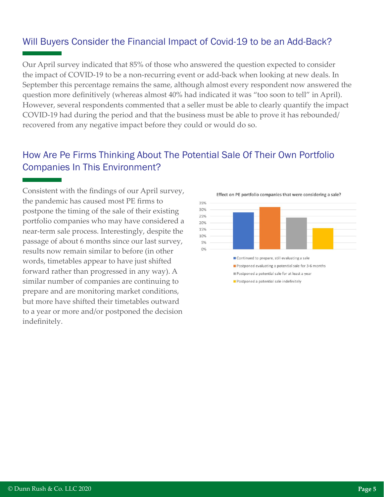### Will Buyers Consider the Financial Impact of Covid-19 to be an Add-Back?

Our April survey indicated that 85% of those who answered the question expected to consider the impact of COVID-19 to be a non-recurring event or add-back when looking at new deals. In September this percentage remains the same, although almost every respondent now answered the question more definitively (whereas almost 40% had indicated it was "too soon to tell" in April). However, several respondents commented that a seller must be able to clearly quantify the impact COVID-19 had during the period and that the business must be able to prove it has rebounded/ recovered from any negative impact before they could or would do so.

#### How Are Pe Firms Thinking About The Potential Sale Of Their Own Portfolio Companies In This Environment?

Consistent with the findings of our April survey, the pandemic has caused most PE firms to postpone the timing of the sale of their existing portfolio companies who may have considered a near-term sale process. Interestingly, despite the passage of about 6 months since our last survey, results now remain similar to before (in other words, timetables appear to have just shifted forward rather than progressed in any way). A similar number of companies are continuing to prepare and are monitoring market conditions, but more have shifted their timetables outward to a year or more and/or postponed the decision indefinitely.

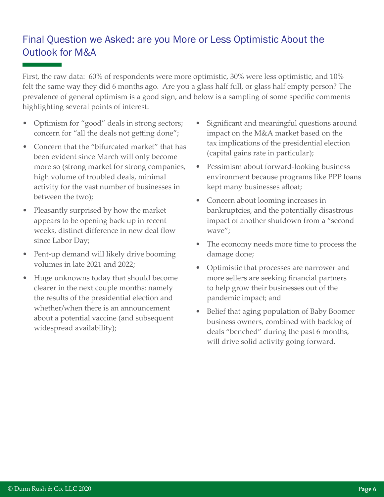## Final Question we Asked: are you More or Less Optimistic About the Outlook for M&A

First, the raw data: 60% of respondents were more optimistic, 30% were less optimistic, and 10% felt the same way they did 6 months ago. Are you a glass half full, or glass half empty person? The prevalence of general optimism is a good sign, and below is a sampling of some specific comments highlighting several points of interest:

- Optimism for "good" deals in strong sectors; concern for "all the deals not getting done";
- Concern that the "bifurcated market" that has been evident since March will only become more so (strong market for strong companies, high volume of troubled deals, minimal activity for the vast number of businesses in between the two);
- Pleasantly surprised by how the market appears to be opening back up in recent weeks, distinct difference in new deal flow since Labor Day;
- Pent-up demand will likely drive booming volumes in late 2021 and 2022;
- Huge unknowns today that should become clearer in the next couple months: namely the results of the presidential election and whether/when there is an announcement about a potential vaccine (and subsequent widespread availability);
- Significant and meaningful questions around impact on the M&A market based on the tax implications of the presidential election (capital gains rate in particular);
- Pessimism about forward-looking business environment because programs like PPP loans kept many businesses afloat;
- Concern about looming increases in bankruptcies, and the potentially disastrous impact of another shutdown from a "second wave";
- The economy needs more time to process the damage done;
- Optimistic that processes are narrower and more sellers are seeking financial partners to help grow their businesses out of the pandemic impact; and
- Belief that aging population of Baby Boomer business owners, combined with backlog of deals "benched" during the past 6 months, will drive solid activity going forward.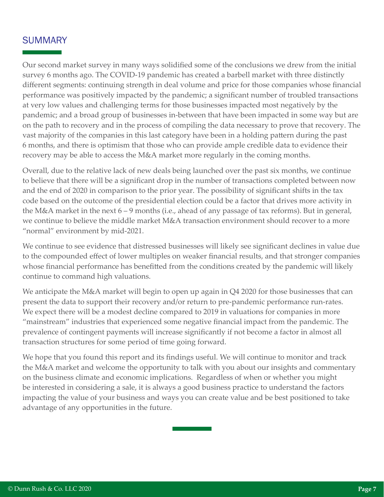#### **SUMMARY**

Our second market survey in many ways solidified some of the conclusions we drew from the initial survey 6 months ago. The COVID-19 pandemic has created a barbell market with three distinctly different segments: continuing strength in deal volume and price for those companies whose financial performance was positively impacted by the pandemic; a significant number of troubled transactions at very low values and challenging terms for those businesses impacted most negatively by the pandemic; and a broad group of businesses in-between that have been impacted in some way but are on the path to recovery and in the process of compiling the data necessary to prove that recovery. The vast majority of the companies in this last category have been in a holding pattern during the past 6 months, and there is optimism that those who can provide ample credible data to evidence their recovery may be able to access the M&A market more regularly in the coming months.

Overall, due to the relative lack of new deals being launched over the past six months, we continue to believe that there will be a significant drop in the number of transactions completed between now and the end of 2020 in comparison to the prior year. The possibility of significant shifts in the tax code based on the outcome of the presidential election could be a factor that drives more activity in the M&A market in the next 6 – 9 months (i.e., ahead of any passage of tax reforms). But in general, we continue to believe the middle market M&A transaction environment should recover to a more "normal" environment by mid-2021.

We continue to see evidence that distressed businesses will likely see significant declines in value due to the compounded effect of lower multiples on weaker financial results, and that stronger companies whose financial performance has benefitted from the conditions created by the pandemic will likely continue to command high valuations.

We anticipate the M&A market will begin to open up again in Q4 2020 for those businesses that can present the data to support their recovery and/or return to pre-pandemic performance run-rates. We expect there will be a modest decline compared to 2019 in valuations for companies in more "mainstream" industries that experienced some negative financial impact from the pandemic. The prevalence of contingent payments will increase significantly if not become a factor in almost all transaction structures for some period of time going forward.

We hope that you found this report and its findings useful. We will continue to monitor and track the M&A market and welcome the opportunity to talk with you about our insights and commentary on the business climate and economic implications. Regardless of when or whether you might be interested in considering a sale, it is always a good business practice to understand the factors impacting the value of your business and ways you can create value and be best positioned to take advantage of any opportunities in the future.